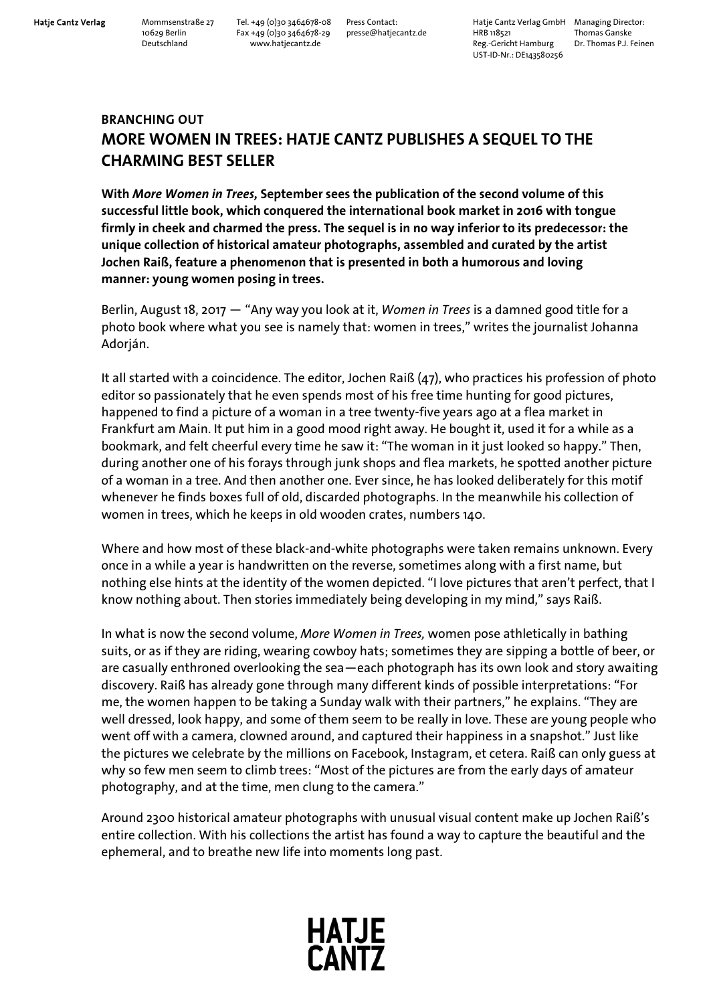Hatje Cantz Verlag Mommsenstraße 27 Tel. +49 (0)30 3464678-08 Press Contact: Hatje Cantz Verlag GmbH Managing Director:<br>10629 Berlin Fax +49 (0)30 3464678-29 presse@hatjecantz.de HRB 118521 Thomas Ganske 10629 Berlin Fax +49 (0)30 3464678-29 presse@hatjecantz.de HRB 118521 pressearce veriag of thomas Ganske<br>Deutschland Fax +49 (0)30 3464678-29 presse@hatjecantz.de HRB 118521 Thomas Ganske<br>Reg.-Gericht Hamburg Dr. Thomas P Reg.-Gericht Hamburg UST-ID-Nr.: DE143580256

## **BRANCHING OUT MORE WOMEN IN TREES: HATJE CANTZ PUBLISHES A SEQUEL TO THE CHARMING BEST SELLER**

**With** *More Women in Trees,* **September sees the publication of the second volume of this successful little book, which conquered the international book market in 2016 with tongue firmly in cheek and charmed the press. The sequel is in no way inferior to its predecessor: the unique collection of historical amateur photographs, assembled and curated by the artist Jochen Raiß, feature a phenomenon that is presented in both a humorous and loving manner: young women posing in trees.** 

Berlin, August 18, 2017 ― "Any way you look at it, *Women in Trees* is a damned good title for a photo book where what you see is namely that: women in trees," writes the journalist Johanna Adorján.

It all started with a coincidence. The editor, Jochen Raiß (47), who practices his profession of photo editor so passionately that he even spends most of his free time hunting for good pictures, happened to find a picture of a woman in a tree twenty-five years ago at a flea market in Frankfurt am Main. It put him in a good mood right away. He bought it, used it for a while as a bookmark, and felt cheerful every time he saw it: "The woman in it just looked so happy." Then, during another one of his forays through junk shops and flea markets, he spotted another picture of a woman in a tree. And then another one. Ever since, he has looked deliberately for this motif whenever he finds boxes full of old, discarded photographs. In the meanwhile his collection of women in trees, which he keeps in old wooden crates, numbers 140.

Where and how most of these black-and-white photographs were taken remains unknown. Every once in a while a year is handwritten on the reverse, sometimes along with a first name, but nothing else hints at the identity of the women depicted. "I love pictures that aren't perfect, that I know nothing about. Then stories immediately being developing in my mind," says Raiß.

In what is now the second volume, *More Women in Trees,* women pose athletically in bathing suits, or as if they are riding, wearing cowboy hats; sometimes they are sipping a bottle of beer, or are casually enthroned overlooking the sea—each photograph has its own look and story awaiting discovery. Raiß has already gone through many different kinds of possible interpretations: "For me, the women happen to be taking a Sunday walk with their partners," he explains. "They are well dressed, look happy, and some of them seem to be really in love. These are young people who went off with a camera, clowned around, and captured their happiness in a snapshot." Just like the pictures we celebrate by the millions on Facebook, Instagram, et cetera. Raiß can only guess at why so few men seem to climb trees: "Most of the pictures are from the early days of amateur photography, and at the time, men clung to the camera."

Around 2300 historical amateur photographs with unusual visual content make up Jochen Raiß's entire collection. With his collections the artist has found a way to capture the beautiful and the ephemeral, and to breathe new life into moments long past.